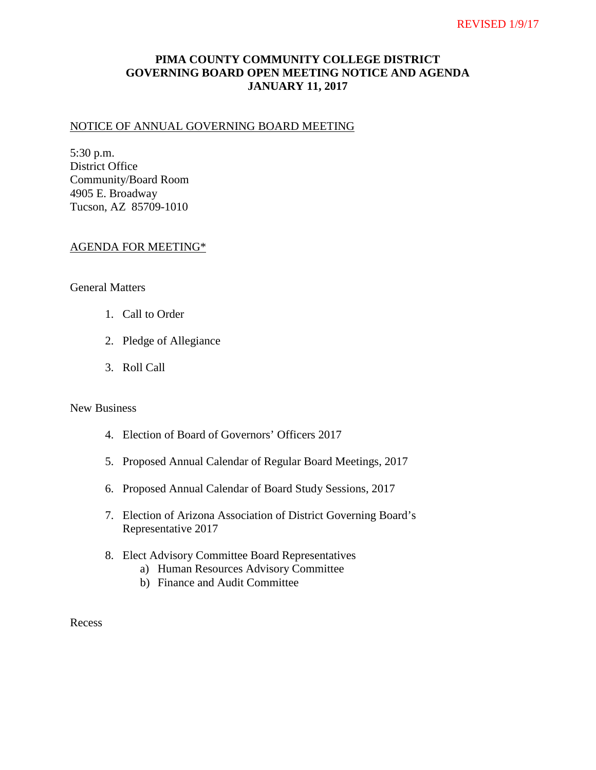# **PIMA COUNTY COMMUNITY COLLEGE DISTRICT GOVERNING BOARD OPEN MEETING NOTICE AND AGENDA JANUARY 11, 2017**

#### NOTICE OF ANNUAL GOVERNING BOARD MEETING

5:30 p.m. District Office Community/Board Room 4905 E. Broadway Tucson, AZ 85709-1010

#### AGENDA FOR MEETING\*

## General Matters

- 1. Call to Order
- 2. Pledge of Allegiance
- 3. Roll Call

## New Business

- 4. Election of Board of Governors' Officers 2017
- 5. Proposed Annual Calendar of Regular Board Meetings, 2017
- 6. Proposed Annual Calendar of Board Study Sessions, 2017
- 7. Election of Arizona Association of District Governing Board's Representative 2017
- 8. Elect Advisory Committee Board Representatives
	- a) Human Resources Advisory Committee
	- b) Finance and Audit Committee

Recess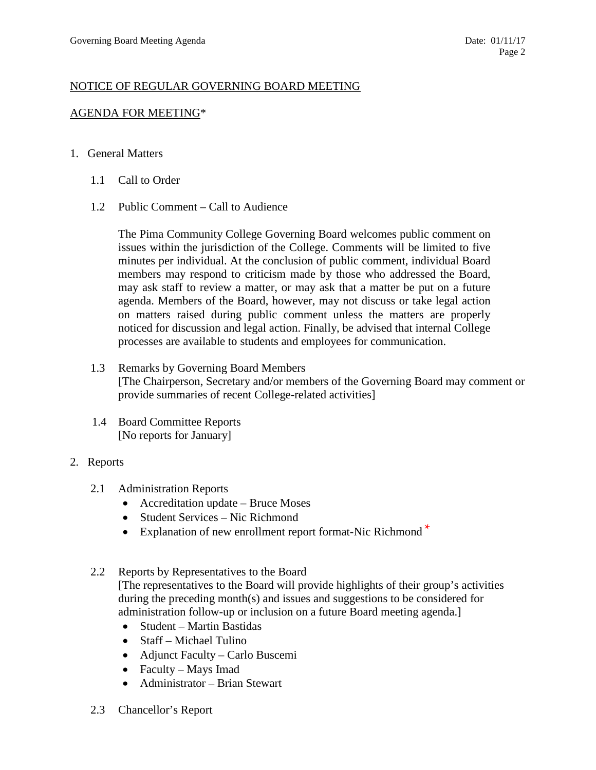## NOTICE OF REGULAR GOVERNING BOARD MEETING

## AGENDA FOR MEETING\*

### 1. General Matters

- 1.1 Call to Order
- 1.2 Public Comment Call to Audience

The Pima Community College Governing Board welcomes public comment on issues within the jurisdiction of the College. Comments will be limited to five minutes per individual. At the conclusion of public comment, individual Board members may respond to criticism made by those who addressed the Board, may ask staff to review a matter, or may ask that a matter be put on a future agenda. Members of the Board, however, may not discuss or take legal action on matters raised during public comment unless the matters are properly noticed for discussion and legal action. Finally, be advised that internal College processes are available to students and employees for communication.

- 1.3 Remarks by Governing Board Members [The Chairperson, Secretary and/or members of the Governing Board may comment or provide summaries of recent College-related activities]
- 1.4 Board Committee Reports [No reports for January]
- 2. Reports
	- 2.1 Administration Reports
		- Accreditation update Bruce Moses
		- Student Services Nic Richmond
		- Explanation of new enrollment report format-Nic Richmond<sup>\*</sup>
	- 2.2 Reports by Representatives to the Board

[The representatives to the Board will provide highlights of their group's activities during the preceding month(s) and issues and suggestions to be considered for administration follow-up or inclusion on a future Board meeting agenda.]

- Student Martin Bastidas
- Staff Michael Tulino
- Adjunct Faculty Carlo Buscemi
- Faculty Mays Imad
- Administrator Brian Stewart
- 2.3 Chancellor's Report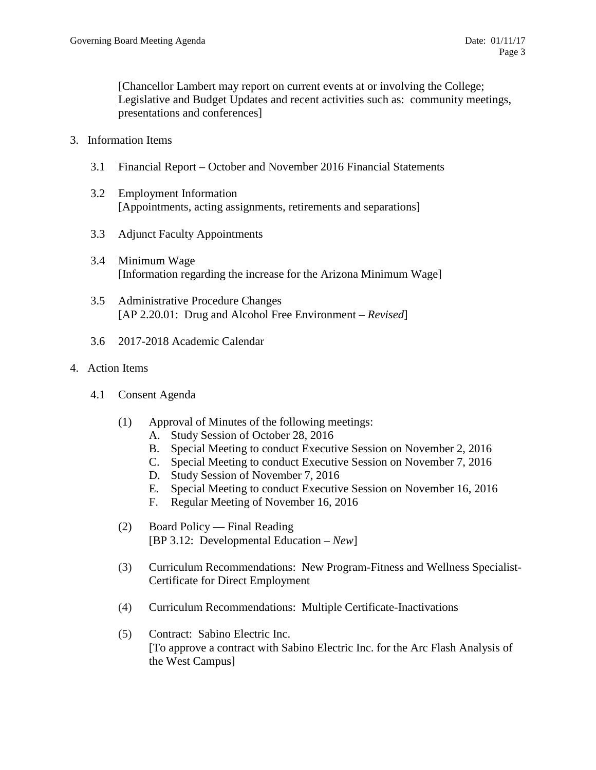[Chancellor Lambert may report on current events at or involving the College; Legislative and Budget Updates and recent activities such as: community meetings, presentations and conferences]

- 3. Information Items
	- 3.1 Financial Report October and November 2016 Financial Statements
	- 3.2 Employment Information [Appointments, acting assignments, retirements and separations]
	- 3.3 Adjunct Faculty Appointments
	- 3.4 Minimum Wage [Information regarding the increase for the Arizona Minimum Wage]
	- 3.5 Administrative Procedure Changes [AP 2.20.01: Drug and Alcohol Free Environment – *Revised*]
	- 3.6 2017-2018 Academic Calendar
- 4. Action Items
	- 4.1 Consent Agenda
		- (1) Approval of Minutes of the following meetings:
			- A. Study Session of October 28, 2016
			- B. Special Meeting to conduct Executive Session on November 2, 2016
			- C. Special Meeting to conduct Executive Session on November 7, 2016
			- D. Study Session of November 7, 2016
			- E. Special Meeting to conduct Executive Session on November 16, 2016
			- F. Regular Meeting of November 16, 2016
		- (2) Board Policy Final Reading [BP 3.12: Developmental Education – *New*]
		- (3) Curriculum Recommendations: New Program-Fitness and Wellness Specialist-Certificate for Direct Employment
		- (4) Curriculum Recommendations: Multiple Certificate-Inactivations
		- (5) Contract: Sabino Electric Inc. [To approve a contract with Sabino Electric Inc. for the Arc Flash Analysis of the West Campus]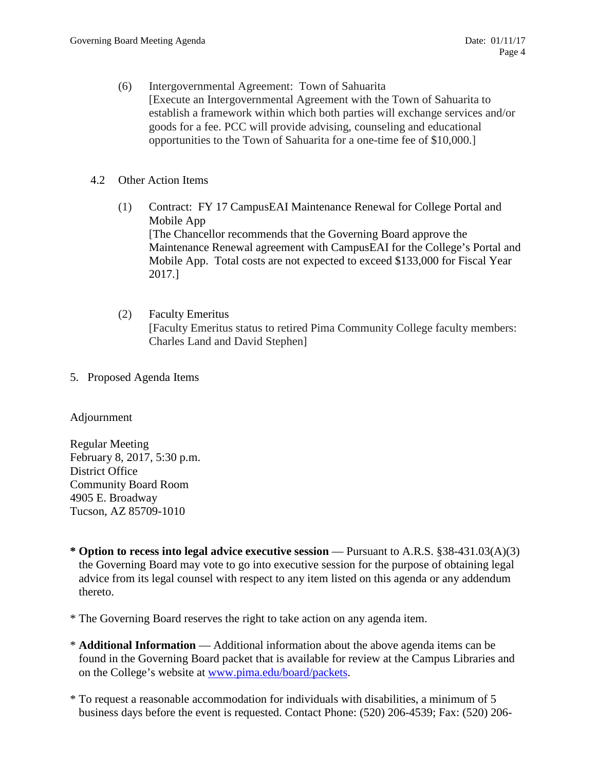(6) Intergovernmental Agreement: Town of Sahuarita [Execute an Intergovernmental Agreement with the Town of Sahuarita to establish a framework within which both parties will exchange services and/or goods for a fee. PCC will provide advising, counseling and educational opportunities to the Town of Sahuarita for a one-time fee of \$10,000.]

## 4.2 Other Action Items

- (1) Contract: FY 17 CampusEAI Maintenance Renewal for College Portal and Mobile App [The Chancellor recommends that the Governing Board approve the Maintenance Renewal agreement with CampusEAI for the College's Portal and Mobile App. Total costs are not expected to exceed \$133,000 for Fiscal Year 2017.]
- (2) Faculty Emeritus [Faculty Emeritus status to retired Pima Community College faculty members: Charles Land and David Stephen]
- 5. Proposed Agenda Items

## Adjournment

Regular Meeting February 8, 2017, 5:30 p.m. District Office Community Board Room 4905 E. Broadway Tucson, AZ 85709-1010

- **\* Option to recess into legal advice executive session**  Pursuant to A.R.S. §38-431.03(A)(3) the Governing Board may vote to go into executive session for the purpose of obtaining legal advice from its legal counsel with respect to any item listed on this agenda or any addendum thereto.
- \* The Governing Board reserves the right to take action on any agenda item.
- \* **Additional Information**  Additional information about the above agenda items can be found in the Governing Board packet that is available for review at the Campus Libraries and on the College's website at [www.pima.edu/board/packets.](http://www.pima.edu/board/packets)
- \* To request a reasonable accommodation for individuals with disabilities, a minimum of 5 business days before the event is requested. Contact Phone: (520) 206-4539; Fax: (520) 206-